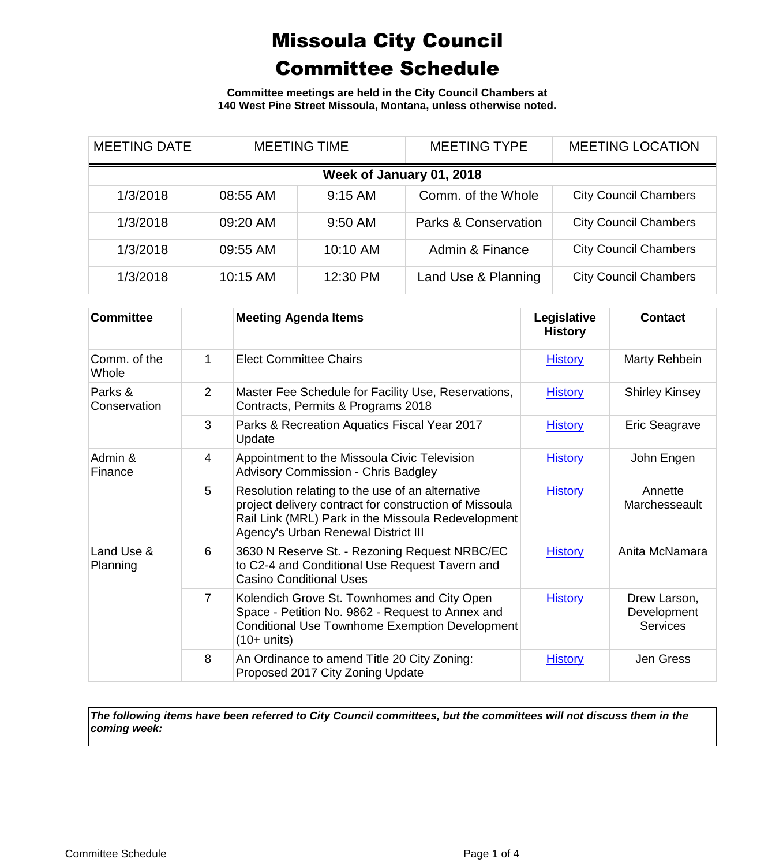**Committee meetings are held in the City Council Chambers at 140 West Pine Street Missoula, Montana, unless otherwise noted.**

| <b>MEETING DATE</b> |          | <b>MEETING TIME</b>      | <b>MEETING TYPE</b>  | <b>MEETING LOCATION</b>      |
|---------------------|----------|--------------------------|----------------------|------------------------------|
|                     |          | Week of January 01, 2018 |                      |                              |
| 1/3/2018            | 08:55 AM | $9:15$ AM                | Comm. of the Whole   | <b>City Council Chambers</b> |
| 1/3/2018            | 09:20 AM | 9:50 AM                  | Parks & Conservation | <b>City Council Chambers</b> |
| 1/3/2018            | 09:55 AM | 10:10 AM                 | Admin & Finance      | <b>City Council Chambers</b> |
| 1/3/2018            | 10:15 AM | 12:30 PM                 | Land Use & Planning  | <b>City Council Chambers</b> |

| <b>Committee</b>        |                | <b>Meeting Agenda Items</b>                                                                                                                                                                             | Legislative<br><b>History</b> | Contact                                        |
|-------------------------|----------------|---------------------------------------------------------------------------------------------------------------------------------------------------------------------------------------------------------|-------------------------------|------------------------------------------------|
| Comm. of the<br>Whole   | 1              | <b>Elect Committee Chairs</b>                                                                                                                                                                           | <b>History</b>                | Marty Rehbein                                  |
| Parks &<br>Conservation | $\overline{2}$ | Master Fee Schedule for Facility Use, Reservations,<br>Contracts, Permits & Programs 2018                                                                                                               | <b>History</b>                | <b>Shirley Kinsey</b>                          |
|                         | 3              | Parks & Recreation Aquatics Fiscal Year 2017<br>Update                                                                                                                                                  | <b>History</b>                | Eric Seagrave                                  |
| Admin &<br>Finance      | 4              | Appointment to the Missoula Civic Television<br><b>Advisory Commission - Chris Badgley</b>                                                                                                              | <b>History</b>                | John Engen                                     |
|                         | 5              | Resolution relating to the use of an alternative<br>project delivery contract for construction of Missoula<br>Rail Link (MRL) Park in the Missoula Redevelopment<br>Agency's Urban Renewal District III | <b>History</b>                | Annette<br>Marchesseault                       |
| Land Use &<br>Planning  | 6              | 3630 N Reserve St. - Rezoning Request NRBC/EC<br>to C2-4 and Conditional Use Request Tavern and<br><b>Casino Conditional Uses</b>                                                                       | <b>History</b>                | Anita McNamara                                 |
|                         | 7              | Kolendich Grove St. Townhomes and City Open<br>Space - Petition No. 9862 - Request to Annex and<br>Conditional Use Townhome Exemption Development<br>$(10+$ units)                                      | <b>History</b>                | Drew Larson,<br>Development<br><b>Services</b> |
|                         | 8              | An Ordinance to amend Title 20 City Zoning:<br>Proposed 2017 City Zoning Update                                                                                                                         | <b>History</b>                | Jen Gress                                      |

*The following items have been referred to City Council committees, but the committees will not discuss them in the coming week:*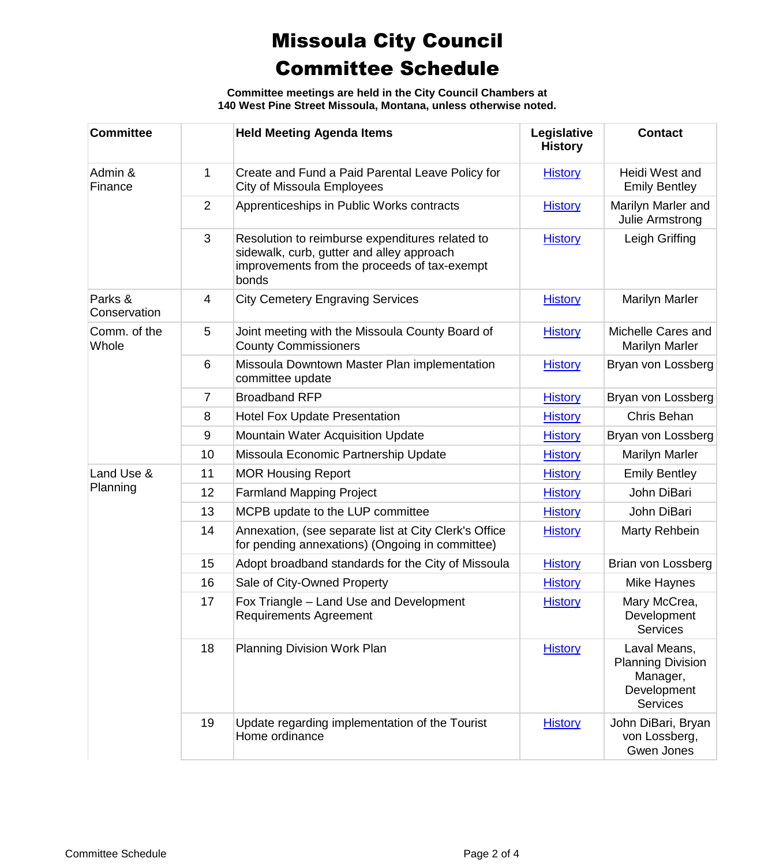**Committee meetings are held in the City Council Chambers at 140 West Pine Street Missoula, Montana, unless otherwise noted.**

| <b>Committee</b>        |                | <b>Held Meeting Agenda Items</b>                                                                                                                      | Legislative<br><b>History</b> | <b>Contact</b>                                                                         |
|-------------------------|----------------|-------------------------------------------------------------------------------------------------------------------------------------------------------|-------------------------------|----------------------------------------------------------------------------------------|
| Admin &<br>Finance      | $\mathbf{1}$   | Create and Fund a Paid Parental Leave Policy for<br>City of Missoula Employees                                                                        | <b>History</b>                | Heidi West and<br><b>Emily Bentley</b>                                                 |
|                         | $\overline{2}$ | Apprenticeships in Public Works contracts                                                                                                             | <b>History</b>                | Marilyn Marler and<br>Julie Armstrong                                                  |
|                         | $\mathfrak{S}$ | Resolution to reimburse expenditures related to<br>sidewalk, curb, gutter and alley approach<br>improvements from the proceeds of tax-exempt<br>bonds | <b>History</b>                | Leigh Griffing                                                                         |
| Parks &<br>Conservation | 4              | <b>City Cemetery Engraving Services</b>                                                                                                               | <b>History</b>                | <b>Marilyn Marler</b>                                                                  |
| Comm. of the<br>Whole   | 5              | Joint meeting with the Missoula County Board of<br><b>County Commissioners</b>                                                                        | <b>History</b>                | Michelle Cares and<br><b>Marilyn Marler</b>                                            |
|                         | 6              | Missoula Downtown Master Plan implementation<br>committee update                                                                                      | <b>History</b>                | Bryan von Lossberg                                                                     |
|                         | 7              | <b>Broadband RFP</b>                                                                                                                                  | <b>History</b>                | Bryan von Lossberg                                                                     |
|                         | 8              | <b>Hotel Fox Update Presentation</b>                                                                                                                  | <b>History</b>                | Chris Behan                                                                            |
|                         | $9\,$          | Mountain Water Acquisition Update                                                                                                                     | <b>History</b>                | Bryan von Lossberg                                                                     |
|                         | 10             | Missoula Economic Partnership Update                                                                                                                  | <b>History</b>                | <b>Marilyn Marler</b>                                                                  |
| Land Use &              | 11             | <b>MOR Housing Report</b>                                                                                                                             | <b>History</b>                | <b>Emily Bentley</b>                                                                   |
| Planning                | 12             | <b>Farmland Mapping Project</b>                                                                                                                       | <b>History</b>                | John DiBari                                                                            |
|                         | 13             | MCPB update to the LUP committee                                                                                                                      | <b>History</b>                | John DiBari                                                                            |
|                         | 14             | Annexation, (see separate list at City Clerk's Office<br>for pending annexations) (Ongoing in committee)                                              | <b>History</b>                | Marty Rehbein                                                                          |
|                         | 15             | Adopt broadband standards for the City of Missoula                                                                                                    | <b>History</b>                | Brian von Lossberg                                                                     |
|                         | 16             | Sale of City-Owned Property                                                                                                                           | <b>History</b>                | Mike Haynes                                                                            |
|                         | 17             | Fox Triangle - Land Use and Development<br><b>Requirements Agreement</b>                                                                              | <b>History</b>                | Mary McCrea,<br>Development<br>Services                                                |
|                         | 18             | Planning Division Work Plan                                                                                                                           | <b>History</b>                | Laval Means,<br><b>Planning Division</b><br>Manager,<br>Development<br><b>Services</b> |
|                         | 19             | Update regarding implementation of the Tourist<br>Home ordinance                                                                                      | <b>History</b>                | John DiBari, Bryan<br>von Lossberg,<br>Gwen Jones                                      |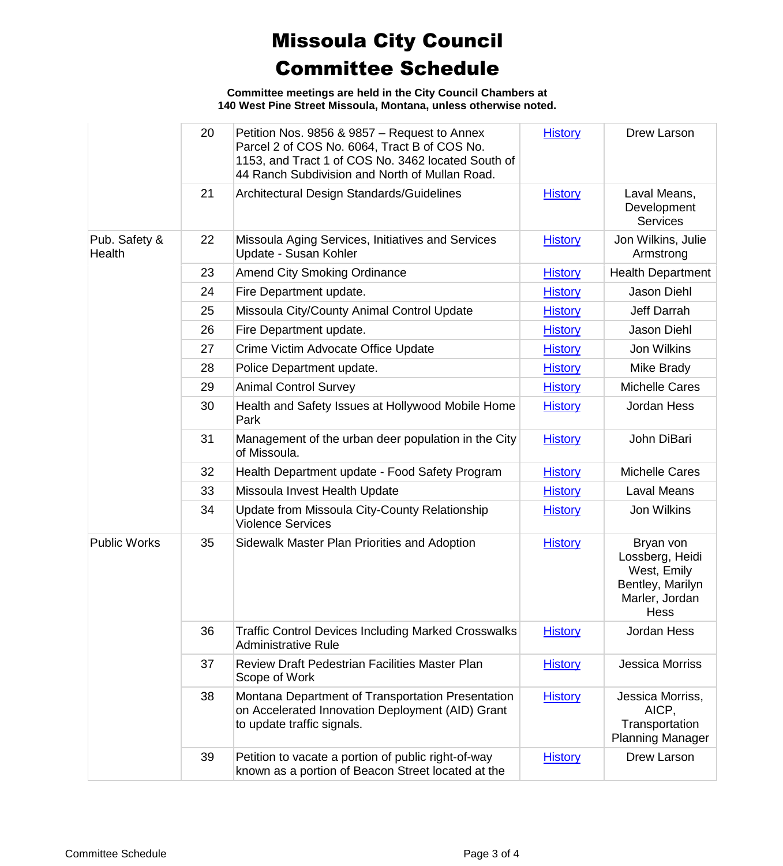**Committee meetings are held in the City Council Chambers at 140 West Pine Street Missoula, Montana, unless otherwise noted.**

|                         | 20 | Petition Nos. 9856 & 9857 - Request to Annex<br>Parcel 2 of COS No. 6064, Tract B of COS No.<br>1153, and Tract 1 of COS No. 3462 located South of<br>44 Ranch Subdivision and North of Mullan Road. | <b>History</b> | Drew Larson                                                                               |
|-------------------------|----|------------------------------------------------------------------------------------------------------------------------------------------------------------------------------------------------------|----------------|-------------------------------------------------------------------------------------------|
|                         | 21 | Architectural Design Standards/Guidelines                                                                                                                                                            | <b>History</b> | Laval Means,<br>Development<br><b>Services</b>                                            |
| Pub. Safety &<br>Health | 22 | Missoula Aging Services, Initiatives and Services<br>Update - Susan Kohler                                                                                                                           | <b>History</b> | Jon Wilkins, Julie<br>Armstrong                                                           |
|                         | 23 | <b>Amend City Smoking Ordinance</b>                                                                                                                                                                  | <b>History</b> | <b>Health Department</b>                                                                  |
|                         | 24 | Fire Department update.                                                                                                                                                                              | <b>History</b> | Jason Diehl                                                                               |
|                         | 25 | Missoula City/County Animal Control Update                                                                                                                                                           | <b>History</b> | Jeff Darrah                                                                               |
|                         | 26 | Fire Department update.                                                                                                                                                                              | <b>History</b> | Jason Diehl                                                                               |
|                         | 27 | Crime Victim Advocate Office Update                                                                                                                                                                  | <b>History</b> | Jon Wilkins                                                                               |
|                         | 28 | Police Department update.                                                                                                                                                                            | <b>History</b> | Mike Brady                                                                                |
|                         | 29 | <b>Animal Control Survey</b>                                                                                                                                                                         | <b>History</b> | <b>Michelle Cares</b>                                                                     |
|                         | 30 | Health and Safety Issues at Hollywood Mobile Home<br>Park                                                                                                                                            | <b>History</b> | Jordan Hess                                                                               |
|                         | 31 | Management of the urban deer population in the City<br>of Missoula.                                                                                                                                  | <b>History</b> | John DiBari                                                                               |
|                         | 32 | Health Department update - Food Safety Program                                                                                                                                                       | <b>History</b> | <b>Michelle Cares</b>                                                                     |
|                         | 33 | Missoula Invest Health Update                                                                                                                                                                        | <b>History</b> | <b>Laval Means</b>                                                                        |
|                         | 34 | Update from Missoula City-County Relationship<br><b>Violence Services</b>                                                                                                                            | <b>History</b> | Jon Wilkins                                                                               |
| <b>Public Works</b>     | 35 | Sidewalk Master Plan Priorities and Adoption                                                                                                                                                         | <b>History</b> | Bryan von<br>Lossberg, Heidi<br>West, Emily<br>Bentley, Marilyn<br>Marler, Jordan<br>Hess |
|                         | 36 | <b>Traffic Control Devices Including Marked Crosswalks</b><br><b>Administrative Rule</b>                                                                                                             | <b>History</b> | Jordan Hess                                                                               |
|                         | 37 | Review Draft Pedestrian Facilities Master Plan<br>Scope of Work                                                                                                                                      | <b>History</b> | <b>Jessica Morriss</b>                                                                    |
|                         | 38 | Montana Department of Transportation Presentation<br>on Accelerated Innovation Deployment (AID) Grant<br>to update traffic signals.                                                                  | <b>History</b> | Jessica Morriss,<br>AICP,<br>Transportation<br><b>Planning Manager</b>                    |
|                         | 39 | Petition to vacate a portion of public right-of-way<br>known as a portion of Beacon Street located at the                                                                                            | <b>History</b> | Drew Larson                                                                               |